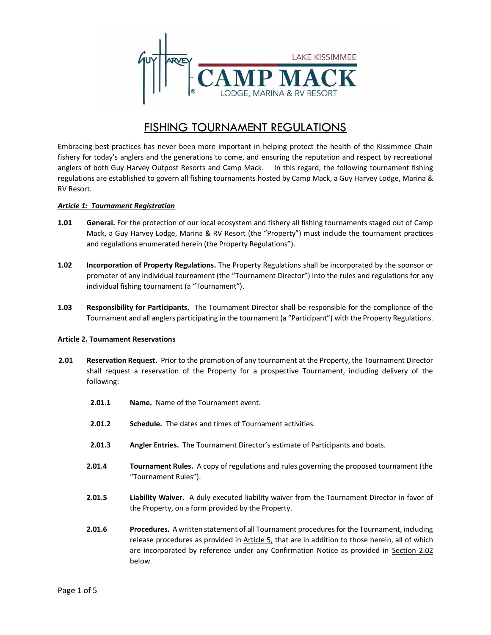

# FISHING TOURNAMENT REGULATIONS

Embracing best-practices has never been more important in helping protect the health of the Kissimmee Chain fishery for today's anglers and the generations to come, and ensuring the reputation and respect by recreational anglers of both Guy Harvey Outpost Resorts and Camp Mack. In this regard, the following tournament fishing regulations are established to govern all fishing tournaments hosted by Camp Mack, a Guy Harvey Lodge, Marina & RV Resort.

## *Article 1: Tournament Registration*

- **1.01 General.** For the protection of our local ecosystem and fishery all fishing tournaments staged out of Camp Mack, a Guy Harvey Lodge, Marina & RV Resort (the "Property") must include the tournament practices and regulations enumerated herein (the Property Regulations").
- **1.02 Incorporation of Property Regulations.** The Property Regulations shall be incorporated by the sponsor or promoter of any individual tournament (the "Tournament Director") into the rules and regulations for any individual fishing tournament (a "Tournament").
- **1.03 Responsibility for Participants.** The Tournament Director shall be responsible for the compliance of the Tournament and all anglers participating in the tournament (a "Participant") with the Property Regulations.

### **Article 2. Tournament Reservations**

- **2.01 Reservation Request.** Prior to the promotion of any tournament at the Property, the Tournament Director shall request a reservation of the Property for a prospective Tournament, including delivery of the following:
	- **2.01.1 Name.** Name of the Tournament event.
	- **2.01.2 Schedule.** The dates and times of Tournament activities.
	- **2.01.3 Angler Entries.** The Tournament Director's estimate of Participants and boats.
	- **2.01.4 Tournament Rules.** A copy of regulations and rules governing the proposed tournament (the "Tournament Rules").
	- **2.01.5 Liability Waiver.** A duly executed liability waiver from the Tournament Director in favor of the Property, on a form provided by the Property.
	- **2.01.6 Procedures.** A written statement of all Tournament procedures for the Tournament, including release procedures as provided in Article 5, that are in addition to those herein, all of which are incorporated by reference under any Confirmation Notice as provided in Section 2.02 below.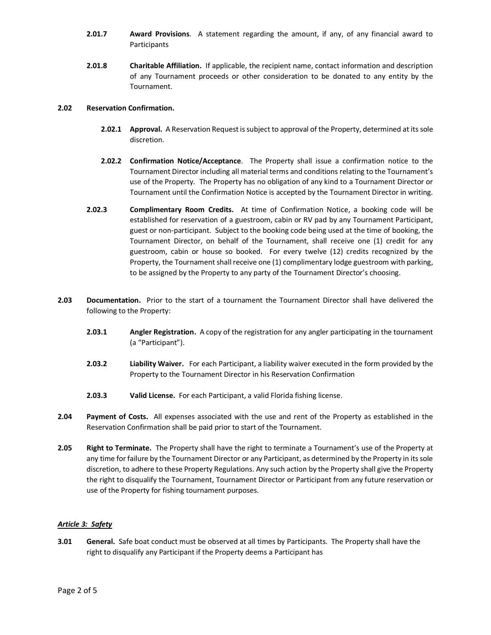- **2.01.7 Award Provisions**. A statement regarding the amount, if any, of any financial award to Participants
- **2.01.8 Charitable Affiliation.** If applicable, the recipient name, contact information and description of any Tournament proceeds or other consideration to be donated to any entity by the Tournament.

### **2.02 Reservation Confirmation.**

- **2.02.1 Approval.** A Reservation Request is subject to approval of the Property, determined at its sole discretion.
- **2.02.2 Confirmation Notice/Acceptance**. The Property shall issue a confirmation notice to the Tournament Director including all material terms and conditions relating to the Tournament's use of the Property. The Property has no obligation of any kind to a Tournament Director or Tournament until the Confirmation Notice is accepted by the Tournament Director in writing.
- **2.02.3 Complimentary Room Credits.** At time of Confirmation Notice, a booking code will be established for reservation of a guestroom, cabin or RV pad by any Tournament Participant, guest or non-participant. Subject to the booking code being used at the time of booking, the Tournament Director, on behalf of the Tournament, shall receive one (1) credit for any guestroom, cabin or house so booked. For every twelve (12) credits recognized by the Property, the Tournament shall receive one (1) complimentary lodge guestroom with parking, to be assigned by the Property to any party of the Tournament Director's choosing.
- **2.03 Documentation.** Prior to the start of a tournament the Tournament Director shall have delivered the following to the Property:
	- **2.03.1 Angler Registration.** A copy of the registration for any angler participating in the tournament (a "Participant").
	- **2.03.2 Liability Waiver.** For each Participant, a liability waiver executed in the form provided by the Property to the Tournament Director in his Reservation Confirmation
	- **2.03.3 Valid License.** For each Participant, a valid Florida fishing license.
- **2.04 Payment of Costs.** All expenses associated with the use and rent of the Property as established in the Reservation Confirmation shall be paid prior to start of the Tournament.
- **2.05 Right to Terminate.** The Property shall have the right to terminate a Tournament's use of the Property at any time for failure by the Tournament Director or any Participant, as determined by the Property in its sole discretion, to adhere to these Property Regulations. Any such action by the Property shall give the Property the right to disqualify the Tournament, Tournament Director or Participant from any future reservation or use of the Property for fishing tournament purposes.

### *Article 3: Safety*

**3.01 General.** Safe boat conduct must be observed at all times by Participants. The Property shall have the right to disqualify any Participant if the Property deems a Participant has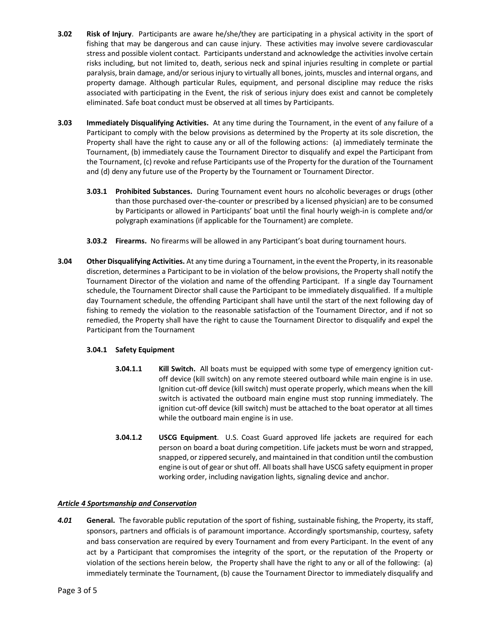- **3.02 Risk of Injury**. Participants are aware he/she/they are participating in a physical activity in the sport of fishing that may be dangerous and can cause injury. These activities may involve severe cardiovascular stress and possible violent contact. Participants understand and acknowledge the activities involve certain risks including, but not limited to, death, serious neck and spinal injuries resulting in complete or partial paralysis, brain damage, and/or serious injury to virtually all bones, joints, muscles and internal organs, and property damage. Although particular Rules, equipment, and personal discipline may reduce the risks associated with participating in the Event, the risk of serious injury does exist and cannot be completely eliminated. Safe boat conduct must be observed at all times by Participants.
- **3.03 Immediately Disqualifying Activities.** At any time during the Tournament, in the event of any failure of a Participant to comply with the below provisions as determined by the Property at its sole discretion, the Property shall have the right to cause any or all of the following actions: (a) immediately terminate the Tournament, (b) immediately cause the Tournament Director to disqualify and expel the Participant from the Tournament, (c) revoke and refuse Participants use of the Property for the duration of the Tournament and (d) deny any future use of the Property by the Tournament or Tournament Director.
	- **3.03.1 Prohibited Substances.** During Tournament event hours no alcoholic beverages or drugs (other than those purchased over-the-counter or prescribed by a licensed physician) are to be consumed by Participants or allowed in Participants' boat until the final hourly weigh-in is complete and/or polygraph examinations (if applicable for the Tournament) are complete.
	- **3.03.2 Firearms.** No firearms will be allowed in any Participant's boat during tournament hours.
- **3.04 Other Disqualifying Activities.** At any time during a Tournament, in the event the Property, in its reasonable discretion, determines a Participant to be in violation of the below provisions, the Property shall notify the Tournament Director of the violation and name of the offending Participant. If a single day Tournament schedule, the Tournament Director shall cause the Participant to be immediately disqualified. If a multiple day Tournament schedule, the offending Participant shall have until the start of the next following day of fishing to remedy the violation to the reasonable satisfaction of the Tournament Director, and if not so remedied, the Property shall have the right to cause the Tournament Director to disqualify and expel the Participant from the Tournament

### **3.04.1 Safety Equipment**

- **3.04.1.1 Kill Switch.** All boats must be equipped with some type of emergency ignition cutoff device (kill switch) on any remote steered outboard while main engine is in use. Ignition cut-off device (kill switch) must operate properly, which means when the kill switch is activated the outboard main engine must stop running immediately. The ignition cut-off device (kill switch) must be attached to the boat operator at all times while the outboard main engine is in use.
- **3.04.1.2 USCG Equipment**. U.S. Coast Guard approved life jackets are required for each person on board a boat during competition. Life jackets must be worn and strapped, snapped, or zippered securely, and maintained in that condition until the combustion engine is out of gear or shut off. All boats shall have USCG safety equipment in proper working order, including navigation lights, signaling device and anchor.

### *Article 4 Sportsmanship and Conservation*

*4.01* **General.** The favorable public reputation of the sport of fishing, sustainable fishing, the Property, its staff, sponsors, partners and officials is of paramount importance. Accordingly sportsmanship, courtesy, safety and bass conservation are required by every Tournament and from every Participant. In the event of any act by a Participant that compromises the integrity of the sport, or the reputation of the Property or violation of the sections herein below, the Property shall have the right to any or all of the following: (a) immediately terminate the Tournament, (b) cause the Tournament Director to immediately disqualify and